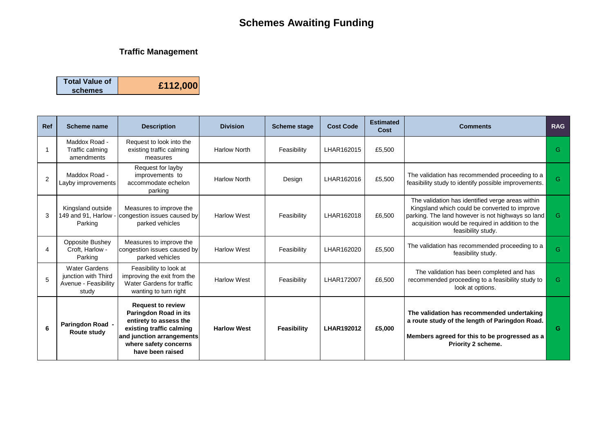## **Schemes Awaiting Funding**

### **Traffic Management**

| <b>Total Value of</b> |          |
|-----------------------|----------|
| schemes               | £112,000 |

| <b>Ref</b> | <b>Scheme name</b>                                                           | <b>Description</b>                                                                                                                                                                | <b>Division</b>     | <b>Scheme stage</b> | <b>Cost Code</b>  | <b>Estimated</b><br>Cost | <b>Comments</b>                                                                                                                                                                                                                  | <b>RAG</b> |
|------------|------------------------------------------------------------------------------|-----------------------------------------------------------------------------------------------------------------------------------------------------------------------------------|---------------------|---------------------|-------------------|--------------------------|----------------------------------------------------------------------------------------------------------------------------------------------------------------------------------------------------------------------------------|------------|
|            | Maddox Road -<br>Traffic calming<br>amendments                               | Request to look into the<br>existing traffic calming<br>measures                                                                                                                  | <b>Harlow North</b> | Feasibility         | LHAR162015        | £5,500                   |                                                                                                                                                                                                                                  | G          |
| 2          | Maddox Road -<br>Layby improvements                                          | Request for layby<br>improvements to<br>accommodate echelon<br>parking                                                                                                            | <b>Harlow North</b> | Design              | LHAR162016        | £5,500                   | The validation has recommended proceeding to a<br>feasibility study to identify possible improvements.                                                                                                                           | G          |
| 3          | Kingsland outside<br>149 and 91, Harlow -<br>Parking                         | Measures to improve the<br>congestion issues caused by<br>parked vehicles                                                                                                         | <b>Harlow West</b>  | Feasibility         | LHAR162018        | £6,500                   | The validation has identified verge areas within<br>Kingsland which could be converted to improve<br>parking. The land however is not highways so land<br>acquisition would be required in addition to the<br>feasibility study. | G.         |
| 4          | Opposite Bushey<br>Croft, Harlow -<br>Parking                                | Measures to improve the<br>congestion issues caused by<br>parked vehicles                                                                                                         | <b>Harlow West</b>  | Feasibility         | LHAR162020        | £5,500                   | The validation has recommended proceeding to a<br>feasibility study.                                                                                                                                                             | G.         |
| 5          | <b>Water Gardens</b><br>junction with Third<br>Avenue - Feasibility<br>study | Feasibility to look at<br>improving the exit from the<br>Water Gardens for traffic<br>wanting to turn right                                                                       | <b>Harlow West</b>  | Feasibility         | LHAR172007        | £6,500                   | The validation has been completed and has<br>recommended proceeding to a feasibility study to<br>look at options.                                                                                                                | G.         |
| 6          | Paringdon Road -<br><b>Route study</b>                                       | <b>Request to review</b><br>Paringdon Road in its<br>entirety to assess the<br>existing traffic calming<br>and junction arrangements<br>where safety concerns<br>have been raised | <b>Harlow West</b>  | Feasibility         | <b>LHAR192012</b> | £5,000                   | The validation has recommended undertaking<br>a route study of the length of Paringdon Road.<br>Members agreed for this to be progressed as a<br><b>Priority 2 scheme.</b>                                                       | G          |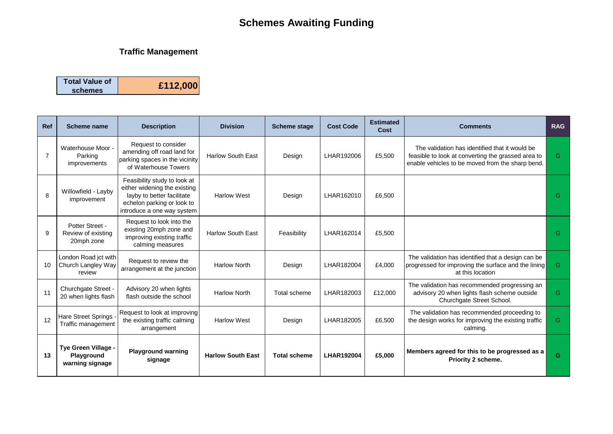# **Schemes Awaiting Funding**

### **Traffic Management**

| <b>Total Value of</b> |          |
|-----------------------|----------|
| schemes               | £112,000 |

| <b>Ref</b>      | Scheme name                                          | <b>Description</b>                                                                                                                                     | <b>Division</b>          | <b>Scheme stage</b> | <b>Cost Code</b>  | <b>Estimated</b><br>Cost | <b>Comments</b>                                                                                                                                          | <b>RAG</b> |
|-----------------|------------------------------------------------------|--------------------------------------------------------------------------------------------------------------------------------------------------------|--------------------------|---------------------|-------------------|--------------------------|----------------------------------------------------------------------------------------------------------------------------------------------------------|------------|
| $\overline{7}$  | Waterhouse Moor -<br>Parking<br>improvements         | Request to consider<br>amending off road land for<br>parking spaces in the vicinity<br>of Waterhouse Towers                                            | <b>Harlow South East</b> | Design              | LHAR192006        | £5,500                   | The validation has identified that it would be<br>feasible to look at converting the grassed area to<br>enable vehicles to be moved from the sharp bend. | G.         |
| 8               | Willowfield - Layby<br>improvement                   | Feasibility study to look at<br>either widening the existing<br>layby to better facilitate<br>echelon parking or look to<br>introduce a one way system | <b>Harlow West</b>       | Design              | LHAR162010        | £6,500                   |                                                                                                                                                          | G.         |
| 9               | Potter Street -<br>Review of existing<br>20mph zone  | Request to look into the<br>existing 20mph zone and<br>improving existing traffic<br>calming measures                                                  | <b>Harlow South East</b> | Feasibility         | LHAR162014        | £5,500                   |                                                                                                                                                          | G.         |
| 10 <sup>1</sup> | London Road jct with<br>Church Langley Way<br>review | Request to review the<br>arrangement at the junction                                                                                                   | <b>Harlow North</b>      | Design              | LHAR182004        | £4,000                   | The validation has identified that a design can be<br>progressed for improving the surface and the lining<br>at this location                            | G.         |
| 11              | Churchgate Street -<br>20 when lights flash          | Advisory 20 when lights<br>flash outside the school                                                                                                    | <b>Harlow North</b>      | Total scheme        | LHAR182003        | £12.000                  | The validation has recommended progressing an<br>advisory 20 when lights flash scheme outside<br>Churchgate Street School.                               | G.         |
| 12              | Hare Street Springs -<br>Traffic management          | Request to look at improving<br>the existing traffic calming<br>arrangement                                                                            | <b>Harlow West</b>       | Design              | LHAR182005        | £6,500                   | The validation has recommended proceeding to<br>the design works for improving the existing traffic<br>calming.                                          | G.         |
| 13              | Tye Green Village -<br>Playground<br>warning signage | <b>Playground warning</b><br>signage                                                                                                                   | <b>Harlow South East</b> | <b>Total scheme</b> | <b>LHAR192004</b> | £5,000                   | Members agreed for this to be progressed as a<br><b>Priority 2 scheme.</b>                                                                               | G.         |